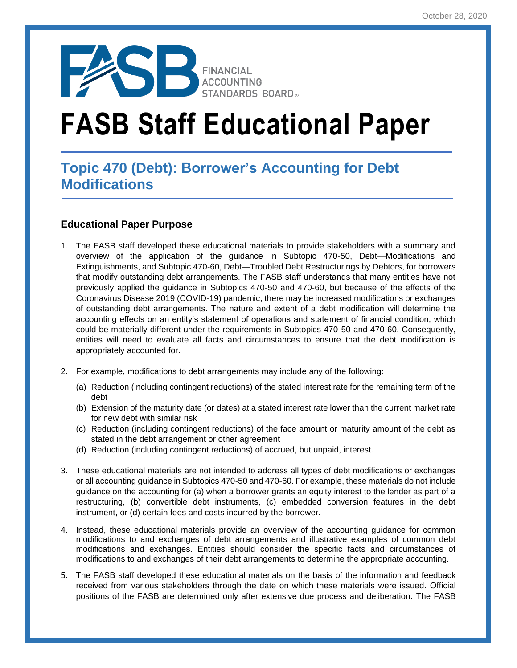

# **FASB Staff Educational Paper**

# **Topic 470 (Debt): Borrower's Accounting for Debt Modifications**

# **Educational Paper Purpose**

- 1. The FASB staff developed these educational materials to provide stakeholders with a summary and overview of the application of the guidance in Subtopic 470-50, Debt—Modifications and Extinguishments, and Subtopic 470-60, Debt—Troubled Debt Restructurings by Debtors, for borrowers that modify outstanding debt arrangements. The FASB staff understands that many entities have not previously applied the guidance in Subtopics 470-50 and 470-60, but because of the effects of the Coronavirus Disease 2019 (COVID-19) pandemic, there may be increased modifications or exchanges of outstanding debt arrangements. The nature and extent of a debt modification will determine the accounting effects on an entity's statement of operations and statement of financial condition, which could be materially different under the requirements in Subtopics 470-50 and 470-60. Consequently, entities will need to evaluate all facts and circumstances to ensure that the debt modification is appropriately accounted for.
- 2. For example, modifications to debt arrangements may include any of the following:
	- (a) Reduction (including contingent reductions) of the stated interest rate for the remaining term of the debt
	- (b) Extension of the maturity date (or dates) at a stated interest rate lower than the current market rate for new debt with similar risk
	- (c) Reduction (including contingent reductions) of the face amount or maturity amount of the debt as stated in the debt arrangement or other agreement
	- (d) Reduction (including contingent reductions) of accrued, but unpaid, interest.
- 3. These educational materials are not intended to address all types of debt modifications or exchanges or all accounting guidance in Subtopics 470-50 and 470-60. For example, these materials do not include guidance on the accounting for (a) when a borrower grants an equity interest to the lender as part of a restructuring, (b) convertible debt instruments, (c) embedded conversion features in the debt instrument, or (d) certain fees and costs incurred by the borrower.
- 4. Instead, these educational materials provide an overview of the accounting guidance for common modifications to and exchanges of debt arrangements and illustrative examples of common debt modifications and exchanges. Entities should consider the specific facts and circumstances of modifications to and exchanges of their debt arrangements to determine the appropriate accounting.
- 5. The FASB staff developed these educational materials on the basis of the information and feedback received from various stakeholders through the date on which these materials were issued. Official positions of the FASB are determined only after extensive due process and deliberation. The FASB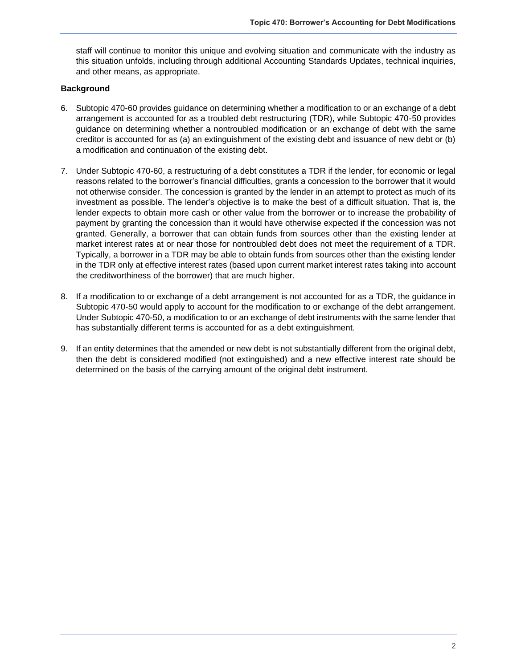staff will continue to monitor this unique and evolving situation and communicate with the industry as this situation unfolds, including through additional Accounting Standards Updates, technical inquiries, and other means, as appropriate.

# **Background**

- 6. Subtopic 470-60 provides guidance on determining whether a modification to or an exchange of a debt arrangement is accounted for as a troubled debt restructuring (TDR), while Subtopic 470-50 provides guidance on determining whether a nontroubled modification or an exchange of debt with the same creditor is accounted for as (a) an extinguishment of the existing debt and issuance of new debt or (b) a modification and continuation of the existing debt.
- 7. Under Subtopic 470-60, a restructuring of a debt constitutes a TDR if the lender, for economic or legal reasons related to the borrower's financial difficulties, grants a concession to the borrower that it would not otherwise consider. The concession is granted by the lender in an attempt to protect as much of its investment as possible. The lender's objective is to make the best of a difficult situation. That is, the lender expects to obtain more cash or other value from the borrower or to increase the probability of payment by granting the concession than it would have otherwise expected if the concession was not granted. Generally, a borrower that can obtain funds from sources other than the existing lender at market interest rates at or near those for nontroubled debt does not meet the requirement of a TDR. Typically, a borrower in a TDR may be able to obtain funds from sources other than the existing lender in the TDR only at effective interest rates (based upon current market interest rates taking into account the creditworthiness of the borrower) that are much higher.
- 8. If a modification to or exchange of a debt arrangement is not accounted for as a TDR, the guidance in Subtopic 470-50 would apply to account for the modification to or exchange of the debt arrangement. Under Subtopic 470-50, a modification to or an exchange of debt instruments with the same lender that has substantially different terms is accounted for as a debt extinguishment.
- 9. If an entity determines that the amended or new debt is not substantially different from the original debt, then the debt is considered modified (not extinguished) and a new effective interest rate should be determined on the basis of the carrying amount of the original debt instrument.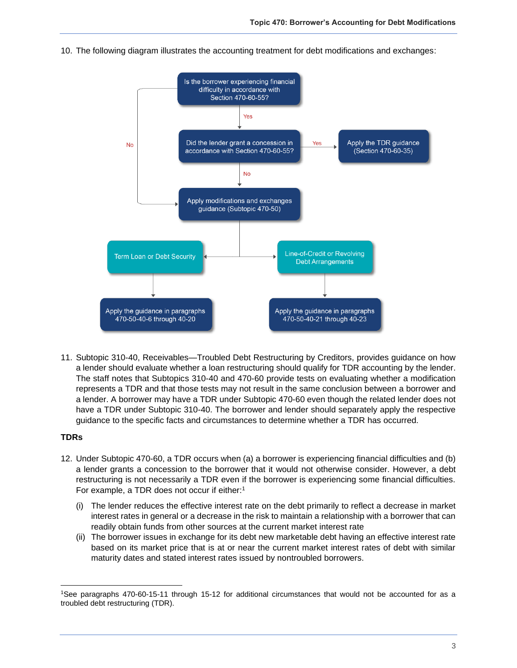- Is the borrower experiencing financial difficulty in accordance with Section 470-60-55? Yes Did the lender grant a concession in Apply the TDR guidance Yes **No** accordance with Section 470-60-55? (Section 470-60-35) **No** Apply modifications and exchanges guidance (Subtopic 470-50) Line-of-Credit or Revolving Term Loan or Debt Security **Debt Arrangements** Apply the guidance in paragraphs Apply the guidance in paragraphs 470-50-40-6 through 40-20 470-50-40-21 through 40-23
- 10. The following diagram illustrates the accounting treatment for debt modifications and exchanges:

11. Subtopic 310-40, Receivables—Troubled Debt Restructuring by Creditors, provides guidance on how a lender should evaluate whether a loan restructuring should qualify for TDR accounting by the lender. The staff notes that Subtopics 310-40 and 470-60 provide tests on evaluating whether a modification represents a TDR and that those tests may not result in the same conclusion between a borrower and a lender. A borrower may have a TDR under Subtopic [470-60](https://dart.deloitte.com/USDART/home/codification/liabilities/asc470-60) even though the related lender does not have a TDR under Subtopic 310-40. The borrower and lender should separately apply the respective guidance to the specific facts and circumstances to determine whether a TDR has occurred.

# **TDRs**

- 12. Under Subtopic 470-60, a TDR occurs when (a) a borrower is experiencing financial difficulties and (b) a lender grants a concession to the borrower that it would not otherwise consider. However, a debt restructuring is not necessarily a TDR even if the borrower is experiencing some financial difficulties. For example, a TDR does not occur if either: 1
	- (i) The lender reduces the effective interest rate on the debt primarily to reflect a decrease in market interest rates in general or a decrease in the risk to maintain a relationship with a borrower that can readily obtain funds from other sources at the current market interest rate
	- (ii) The borrower issues in exchange for its debt new marketable debt having an effective interest rate based on its market price that is at or near the current market interest rates of debt with similar maturity dates and stated interest rates issued by nontroubled borrowers.

<sup>1</sup>See paragraphs 470-60-15-11 through 15-12 for additional circumstances that would not be accounted for as a troubled debt restructuring (TDR).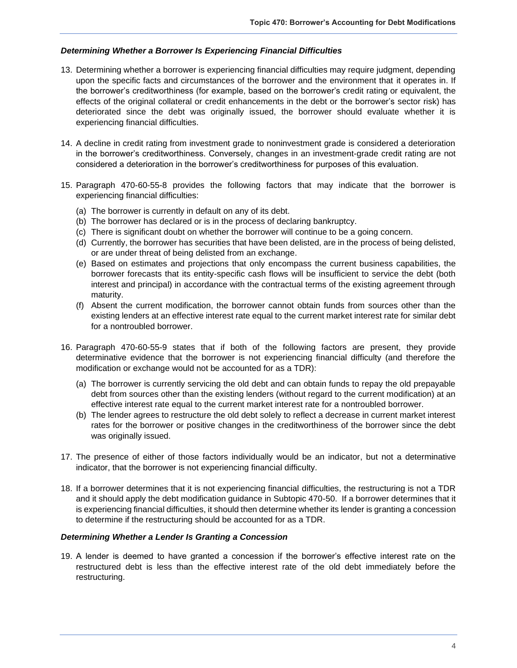# *Determining Whether a Borrower Is Experiencing Financial Difficulties*

- 13. Determining whether a borrower is experiencing financial difficulties may require judgment, depending upon the specific facts and circumstances of the borrower and the environment that it operates in. If the borrower's creditworthiness (for example, based on the borrower's credit rating or equivalent, the effects of the original collateral or credit enhancements in the debt or the borrower's sector risk) has deteriorated since the debt was originally issued, the borrower should evaluate whether it is experiencing financial difficulties.
- 14. A decline in credit rating from investment grade to noninvestment grade is considered a deterioration in the borrower's creditworthiness. Conversely, changes in an investment-grade credit rating are not considered a deterioration in the borrower's creditworthiness for purposes of this evaluation.
- 15. Paragraph 470-60-55-8 provides the following factors that may indicate that the borrower is experiencing financial difficulties:
	- (a) The borrower is currently in default on any of its debt.
	- (b) The borrower has declared or is in the process of declaring bankruptcy.
	- (c) There is significant doubt on whether the borrower will continue to be a going concern.
	- (d) Currently, the borrower has securities that have been delisted, are in the process of being delisted, or are under threat of being delisted from an exchange.
	- (e) Based on estimates and projections that only encompass the current business capabilities, the borrower forecasts that its entity-specific cash flows will be insufficient to service the debt (both interest and principal) in accordance with the contractual terms of the existing agreement through maturity.
	- (f) Absent the current modification, the borrower cannot obtain funds from sources other than the existing lenders at an effective interest rate equal to the current market interest rate for similar debt for a nontroubled borrower.
- 16. Paragraph 470-60-55-9 states that if both of the following factors are present, they provide determinative evidence that the borrower is not experiencing financial difficulty (and therefore the modification or exchange would not be accounted for as a TDR):
	- (a) The borrower is currently servicing the old debt and can obtain funds to repay the old prepayable debt from sources other than the existing lenders (without regard to the current modification) at an effective interest rate equal to the current market interest rate for a nontroubled borrower.
	- (b) The lender agrees to restructure the old debt solely to reflect a decrease in current market interest rates for the borrower or positive changes in the creditworthiness of the borrower since the debt was originally issued.
- 17. The presence of either of those factors individually would be an indicator, but not a determinative indicator, that the borrower is not experiencing financial difficulty.
- 18. If a borrower determines that it is not experiencing financial difficulties, the restructuring is not a TDR and it should apply the debt modification guidance in Subtopic 470-50. If a borrower determines that it is experiencing financial difficulties, it should then determine whether its lender is granting a concession to determine if the restructuring should be accounted for as a TDR.

#### *Determining Whether a Lender Is Granting a Concession*

19. A lender is deemed to have granted a concession if the borrower's effective interest rate on the restructured debt is less than the effective interest rate of the old debt immediately before the restructuring.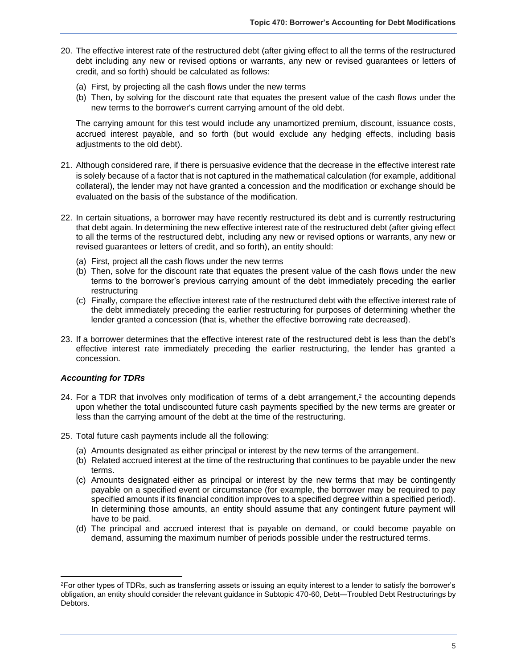- 20. The effective interest rate of the restructured debt (after giving effect to all the terms of the restructured debt including any new or revised options or warrants, any new or revised guarantees or letters of credit, and so forth) should be calculated as follows:
	- (a) First, by projecting all the cash flows under the new terms
	- (b) Then, by solving for the discount rate that equates the present value of the cash flows under the new terms to the borrower's current [carrying amount](https://dart.deloitte.com/USDART/tree/vsid/45877) of the old debt.

The carrying amount for this test would include any unamortized premium, discount, issuance costs, accrued interest payable, and so forth (but would exclude any hedging effects, including basis adjustments to the old debt).

- 21. Although considered rare, if there is persuasive evidence that the decrease in the effective interest rate is solely because of a factor that is not captured in the mathematical calculation (for example, additional collateral), the lender may not have granted a concession and the modification or exchange should be evaluated on the basis of the substance of the modification.
- 22. In certain situations, a borrower may have recently restructured its debt and is currently restructuring that debt again. In determining the new effective interest rate of the restructured debt (after giving effect to all the terms of the restructured debt, including any new or revised options or warrants, any new or revised guarantees or letters of credit, and so forth), an entity should:
	- (a) First, project all the cash flows under the new terms
	- (b) Then, solve for the discount rate that equates the present value of the cash flows under the new terms to the borrower's previous carrying amount of the debt immediately preceding the earlier restructuring
	- (c) Finally, compare the effective interest rate of the restructured debt with the effective interest rate of the debt immediately preceding the earlier restructuring for purposes of determining whether the lender granted a concession (that is, whether the effective borrowing rate decreased).
- 23. If a borrower determines that the effective interest rate of the restructured debt is less than the debt's effective interest rate immediately preceding the earlier restructuring, the lender has granted a concession.

# *Accounting for TDRs*

- 24. For a TDR that involves only modification of terms of a debt arrangement,<sup>2</sup> the accounting depends upon whether the total undiscounted future cash payments specified by the new terms are greater or less than the carrying amount of the debt at the time of the restructuring.
- 25. Total future cash payments include all the following:
	- (a) Amounts designated as either principal or interest by the new terms of the arrangement.
	- (b) Related accrued interest at the time of the restructuring that continues to be payable under the new terms.
	- (c) Amounts designated either as principal or interest by the new terms that may be contingently payable on a specified event or circumstance (for example, the borrower may be required to pay specified amounts if its financial condition improves to a specified degree within a specified period). In determining those amounts, an entity should assume that any contingent future payment will have to be paid.
	- (d) The principal and accrued interest that is payable on demand, or could become payable on demand, assuming the maximum number of periods possible under the restructured terms.

<sup>2</sup>For other types of TDRs, such as transferring assets or issuing an equity interest to a lender to satisfy the borrower's obligation, an entity should consider the relevant guidance in Subtopic 470-60, Debt—Troubled Debt Restructurings by Debtors.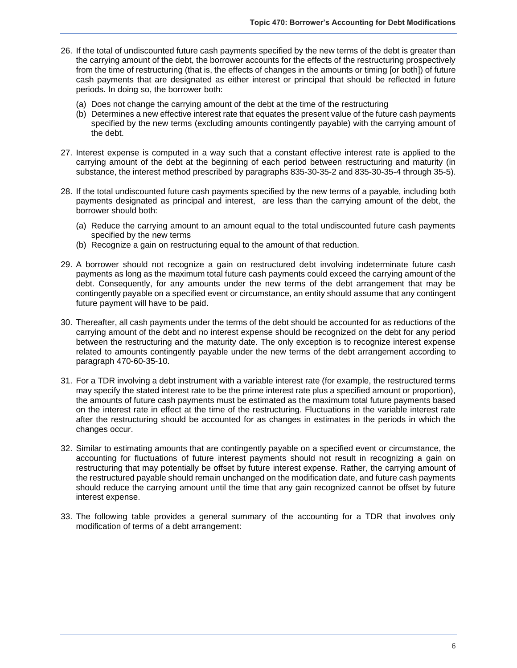- 26. If the total of undiscounted future cash payments specified by the new terms of the debt is greater than the carrying amount of the debt, the borrower accounts for the effects of the restructuring prospectively from the [time of restructuring](https://dart.deloitte.com/USDART/tree/vsid/47108) (that is, the effects of changes in the amounts or timing [or both]) of future cash payments that are designated as either interest or principal that should be reflected in future periods. In doing so, the borrower both:
	- (a) Does not change the carrying amount of the debt at the time of the restructuring
	- (b) Determines a new effective interest rate that equates the present value of the future cash payments specified by the new terms (excluding amounts contingently payable) with the carrying amount of the debt.
- 27. Interest expense is computed in a way such that a constant effective interest rate is applied to the carrying amount of the debt at the beginning of each period between restructuring and maturity (in substance, the interest method prescribed by paragraphs [835-30-35-2](https://dart.deloitte.com/USDART/home/codification/broad-transactions/asc835-30-35#d3e28362-108398-48655) and [835-30-35-4 through 35-5\)](https://dart.deloitte.com/USDART/home/codification/broad-transactions/asc835-30-35#d3e28391-108398-48655).
- 28. If the total undiscounted future cash payments specified by the new terms of a payable, including both payments designated as principal and interest, are less than the carrying amount of the debt, the borrower should both:
	- (a) Reduce the carrying amount to an amount equal to the total undiscounted future cash payments specified by the new terms
	- (b) Recognize a gain on restructuring equal to the amount of that reduction.
- 29. A borrower should not recognize a gain on restructured debt involving indeterminate future cash payments as long as the maximum total future cash payments could exceed the carrying amount of the debt. Consequently, for any amounts under the new terms of the debt arrangement that may be contingently payable on a specified event or circumstance, an entity should assume that any contingent future payment will have to be paid.
- 30. Thereafter, all cash payments under the terms of the debt should be accounted for as reductions of the carrying amount of the debt and no interest expense should be recognized on the debt for any period between the restructuring and the maturity date. The only exception is to recognize interest expense related to amounts contingently payable under the new terms of the debt arrangement according to paragraph [470-60-35-10.](https://dart.deloitte.com/USDART/home/codification/liabilities/asc470-60-35#d3e15405-112636-47902)
- 31. For a TDR involving a debt instrument with a variable interest rate (for example, the restructured terms may specify the stated interest rate to be the prime interest rate plus a specified amount or proportion), the amounts of future cash payments must be estimated as the maximum total future payments based on the interest rate in effect at the time of the restructuring. Fluctuations in the variable interest rate after the restructuring should be accounted for as changes in estimates in the periods in which the changes occur.
- 32. Similar to estimating amounts that are contingently payable on a specified event or circumstance, the accounting for fluctuations of future interest payments should not result in recognizing a gain on restructuring that may potentially be offset by future interest expense. Rather, the carrying amount of the restructured payable should remain unchanged on the modification date, and future cash payments should reduce the carrying amount until the time that any gain recognized cannot be offset by future interest expense.
- 33. The following table provides a general summary of the accounting for a TDR that involves only modification of terms of a debt arrangement: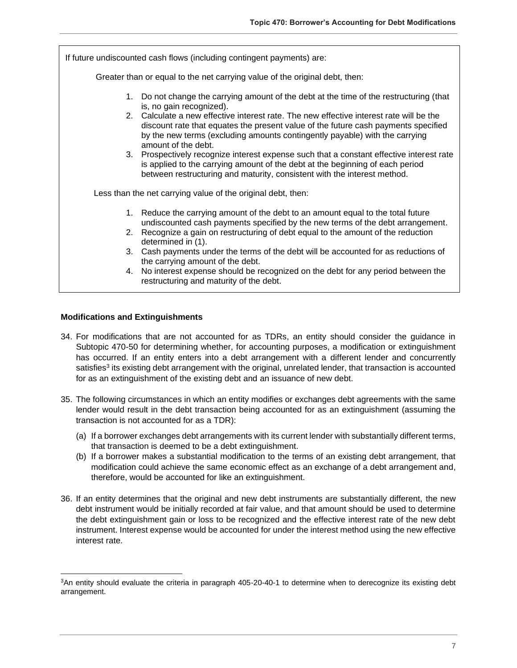If future undiscounted cash flows (including contingent payments) are: Greater than or equal to the net carrying value of the original debt, then: 1. Do not change the carrying amount of the debt at the time of the restructuring (that is, no gain recognized). 2. Calculate a new effective interest rate. The new effective interest rate will be the discount rate that equates the present value of the future cash payments specified by the new terms (excluding amounts contingently payable) with the carrying amount of the debt. 3. Prospectively recognize interest expense such that a constant effective interest rate is applied to the carrying amount of the debt at the beginning of each period between restructuring and maturity, consistent with the interest method. Less than the net carrying value of the original debt, then: 1. Reduce the carrying amount of the debt to an amount equal to the total future undiscounted cash payments specified by the new terms of the debt arrangement. 2. Recognize a gain on restructuring of debt equal to the amount of the reduction determined in (1). 3. Cash payments under the terms of the debt will be accounted for as reductions of the carrying amount of the debt. 4. No interest expense should be recognized on the debt for any period between the restructuring and maturity of the debt.

#### **Modifications and Extinguishments**

- 34. For modifications that are not accounted for as TDRs, an entity should consider the guidance in Subtopic 470-50 for determining whether, for accounting purposes, a modification or extinguishment has occurred. If an entity enters into a debt arrangement with a different lender and concurrently satisfies<sup>3</sup> its existing debt arrangement with the original, unrelated lender, that transaction is accounted for as an extinguishment of the existing debt and an issuance of new debt.
- 35. The following circumstances in which an entity modifies or exchanges debt agreements with the same lender would result in the debt transaction being accounted for as an extinguishment (assuming the transaction is not accounted for as a TDR):
	- (a) If a borrower exchanges debt arrangements with its current lender with substantially different terms, that transaction is deemed to be a debt extinguishment.
	- (b) If a borrower makes a substantial modification to the terms of an existing debt arrangement, that modification could achieve the same economic effect as an exchange of a debt arrangement and, therefore, would be accounted for like an extinguishment.
- 36. If an entity determines that the original and new debt instruments are substantially different, the new debt instrument would be initially recorded at fair value, and that amount should be used to determine the debt extinguishment gain or loss to be recognized and the effective interest rate of the new debt instrument. Interest expense would be accounted for under the interest method using the new effective interest rate.

<sup>&</sup>lt;sup>3</sup>An entity should evaluate the criteria in paragraph 405-20-40-1 to determine when to derecognize its existing debt arrangement.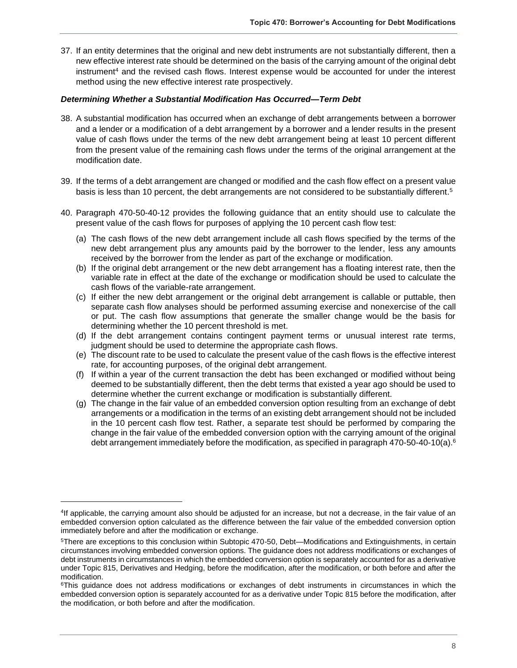37. If an entity determines that the original and new debt instruments are not substantially different, then a new effective interest rate should be determined on the basis of the carrying amount of the original debt instrument<sup>4</sup> and the revised cash flows. Interest expense would be accounted for under the interest method using the new effective interest rate prospectively.

# *Determining Whether a Substantial Modification Has Occurred—Term Debt*

- 38. A substantial modification has occurred when an exchange of debt arrangements between a borrower and a lender or a modification of a debt arrangement by a borrower and a lender results in the present value of cash flows under the terms of the new debt arrangement being at least 10 percent different from the present value of the remaining cash flows under the terms of the original arrangement at the modification date.
- 39. If the terms of a debt arrangement are changed or modified and the cash flow effect on a present value basis is less than 10 percent, the debt arrangements are not considered to be substantially different.<sup>5</sup>
- 40. Paragraph 470-50-40-12 provides the following guidance that an entity should use to calculate the present value of the cash flows for purposes of applying the 10 percent cash flow test:
	- (a) The cash flows of the new debt arrangement include all cash flows specified by the terms of the new debt arrangement plus any amounts paid by the borrower to the lender, less any amounts received by the borrower from the lender as part of the exchange or modification.
	- (b) If the original debt arrangement or the new debt arrangement has a floating interest rate, then the variable rate in effect at the date of the exchange or modification should be used to calculate the cash flows of the variable-rate arrangement.
	- (c) If either the new debt arrangement or the original debt arrangement is callable or puttable, then separate cash flow analyses should be performed assuming exercise and nonexercise of the call or put. The cash flow assumptions that generate the smaller change would be the basis for determining whether the 10 percent threshold is met.
	- (d) If the debt arrangement contains contingent payment terms or unusual interest rate terms, judgment should be used to determine the appropriate cash flows.
	- (e) The discount rate to be used to calculate the present value of the cash flows is the effective interest rate, for accounting purposes, of the original debt arrangement.
	- (f) If within a year of the current transaction the debt has been exchanged or modified without being deemed to be substantially different, then the debt terms that existed a year ago should be used to determine whether the current exchange or modification is substantially different.
	- (g) The change in the fair value of an embedded conversion option resulting from an exchange of debt arrangements or a modification in the terms of an existing debt arrangement should not be included in the 10 percent cash flow test. Rather, a separate test should be performed by comparing the change in the fair value of the embedded conversion option with the carrying amount of the original debt arrangement immediately before the modification, as specified in paragraph [470-50-40-10\(a\).](https://dart.deloitte.com/USDART/home/codification/liabilities/asc470-50-40#d3e12438-112629-47894) $^{\rm 6}$

<sup>4</sup> If applicable, the carrying amount also should be adjusted for an increase, but not a decrease, in the fair value of an embedded conversion option calculated as the difference between the fair value of the embedded conversion option immediately before and after the modification or exchange.

<sup>5</sup>There are exceptions to this conclusion within Subtopic 470-50, Debt—Modifications and Extinguishments, in certain circumstances involving embedded conversion options. The guidance does not address modifications or exchanges of debt instruments in circumstances in which the embedded conversion option is separately accounted for as a derivative under Topic [815,](https://dart.deloitte.com/USDART/home/codification/broad-transactions/asc815) Derivatives and Hedging, before the modification, after the modification, or both before and after the modification.

<sup>6</sup>This guidance does not address modifications or exchanges of debt instruments in circumstances in which the embedded conversion option is separately accounted for as a derivative under Topic [815](https://dart.deloitte.com/USDART/home/codification/broad-transactions/asc815) before the modification, after the modification, or both before and after the modification.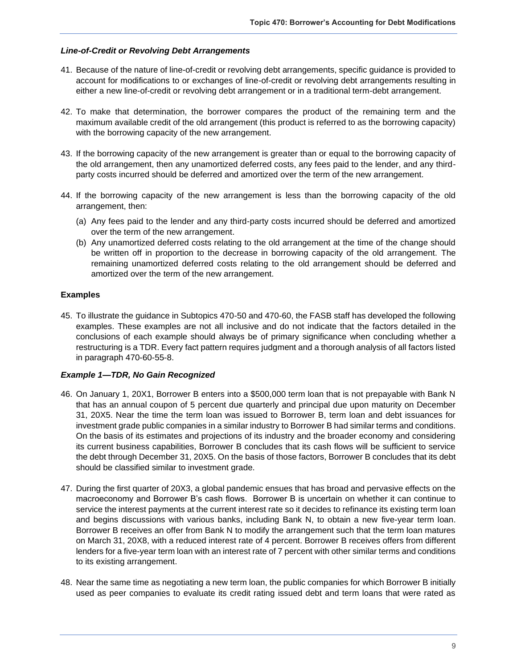# *Line-of-Credit or Revolving Debt Arrangements*

- 41. Because of the nature of line-of-credit or revolving debt arrangements, specific guidance is provided to account for modifications to or exchanges of line-of-credit or revolving debt arrangements resulting in either a new line-of-credit or revolving debt arrangement or in a traditional term-debt arrangement.
- 42. To make that determination, the borrower compares the product of the remaining term and the maximum available credit of the old arrangement (this product is referred to as the borrowing capacity) with the borrowing capacity of the new arrangement.
- 43. If the borrowing capacity of the new arrangement is greater than or equal to the borrowing capacity of the old arrangement, then any unamortized deferred costs, any fees paid to the lender, and any thirdparty costs incurred should be deferred and amortized over the term of the new arrangement.
- 44. If the borrowing capacity of the new arrangement is less than the borrowing capacity of the old arrangement, then:
	- (a) Any fees paid to the lender and any third-party costs incurred should be deferred and amortized over the term of the new arrangement.
	- (b) Any unamortized deferred costs relating to the old arrangement at the time of the change should be written off in proportion to the decrease in borrowing capacity of the old arrangement. The remaining unamortized deferred costs relating to the old arrangement should be deferred and amortized over the term of the new arrangement.

# **Examples**

45. To illustrate the guidance in Subtopics 470-50 and 470-60, the FASB staff has developed the following examples. These examples are not all inclusive and do not indicate that the factors detailed in the conclusions of each example should always be of primary significance when concluding whether a restructuring is a TDR. Every fact pattern requires judgment and a thorough analysis of all factors listed in paragraph 470-60-55-8.

# *Example 1—TDR, No Gain Recognized*

- 46. On January 1, 20X1, Borrower B enters into a \$500,000 term loan that is not prepayable with Bank N that has an annual coupon of 5 percent due quarterly and principal due upon maturity on December 31, 20X5. Near the time the term loan was issued to Borrower B, term loan and debt issuances for investment grade public companies in a similar industry to Borrower B had similar terms and conditions. On the basis of its estimates and projections of its industry and the broader economy and considering its current business capabilities, Borrower B concludes that its cash flows will be sufficient to service the debt through December 31, 20X5. On the basis of those factors, Borrower B concludes that its debt should be classified similar to investment grade.
- 47. During the first quarter of 20X3, a global pandemic ensues that has broad and pervasive effects on the macroeconomy and Borrower B's cash flows. Borrower B is uncertain on whether it can continue to service the interest payments at the current interest rate so it decides to refinance its existing term loan and begins discussions with various banks, including Bank N, to obtain a new five-year term loan. Borrower B receives an offer from Bank N to modify the arrangement such that the term loan matures on March 31, 20X8, with a reduced interest rate of 4 percent. Borrower B receives offers from different lenders for a five-year term loan with an interest rate of 7 percent with other similar terms and conditions to its existing arrangement.
- 48. Near the same time as negotiating a new term loan, the public companies for which Borrower B initially used as peer companies to evaluate its credit rating issued debt and term loans that were rated as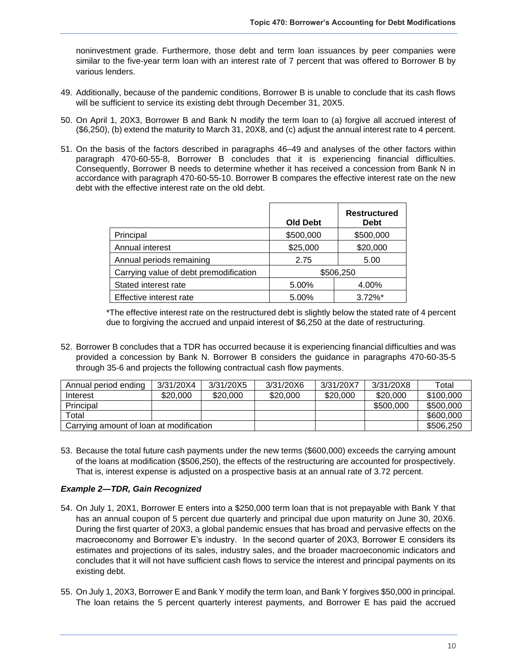noninvestment grade. Furthermore, those debt and term loan issuances by peer companies were similar to the five-year term loan with an interest rate of 7 percent that was offered to Borrower B by various lenders.

- 49. Additionally, because of the pandemic conditions, Borrower B is unable to conclude that its cash flows will be sufficient to service its existing debt through December 31, 20X5.
- 50. On April 1, 20X3, Borrower B and Bank N modify the term loan to (a) forgive all accrued interest of (\$6,250), (b) extend the maturity to March 31, 20X8, and (c) adjust the annual interest rate to 4 percent.
- 51. On the basis of the factors described in paragraphs 46–49 and analyses of the other factors within paragraph 470-60-55-8, Borrower B concludes that it is experiencing financial difficulties. Consequently, Borrower B needs to determine whether it has received a concession from Bank N in accordance with paragraph 470-60-55-10. Borrower B compares the effective interest rate on the new debt with the effective interest rate on the old debt.

|                                        | <b>Old Debt</b> | <b>Restructured</b><br><b>Debt</b> |
|----------------------------------------|-----------------|------------------------------------|
| Principal                              | \$500,000       | \$500,000                          |
| Annual interest                        | \$25,000        | \$20,000                           |
| Annual periods remaining               | 2.75            | 5.00                               |
| Carrying value of debt premodification |                 | \$506,250                          |
| Stated interest rate                   | 5.00%           | 4.00%                              |
| Effective interest rate                | 5.00%           | $3.72\%$ *                         |

\*The effective interest rate on the restructured debt is slightly below the stated rate of 4 percent due to forgiving the accrued and unpaid interest of \$6,250 at the date of restructuring.

52. Borrower B concludes that a TDR has occurred because it is experiencing financial difficulties and was provided a concession by Bank N. Borrower B considers the guidance in paragraphs 470-60-35-5 through 35-6 and projects the following contractual cash flow payments.

| Annual period ending                    | 3/31/20X4 | 3/31/20X5 | 3/31/20X6 | 3/31/20X7 | 3/31/20X8 | Total     |
|-----------------------------------------|-----------|-----------|-----------|-----------|-----------|-----------|
| Interest                                | \$20,000  | \$20,000  | \$20,000  | \$20,000  | \$20,000  | \$100,000 |
| Principal                               |           |           |           |           | \$500,000 | \$500,000 |
| Total                                   |           |           |           |           |           | \$600,000 |
| Carrying amount of loan at modification |           |           |           |           |           | \$506.250 |

53. Because the total future cash payments under the new terms (\$600,000) exceeds the carrying amount of the loans at modification (\$506,250), the effects of the restructuring are accounted for prospectively. That is, interest expense is adjusted on a prospective basis at an annual rate of 3.72 percent.

# *Example 2—TDR, Gain Recognized*

- 54. On July 1, 20X1, Borrower E enters into a \$250,000 term loan that is not prepayable with Bank Y that has an annual coupon of 5 percent due quarterly and principal due upon maturity on June 30, 20X6. During the first quarter of 20X3, a global pandemic ensues that has broad and pervasive effects on the macroeconomy and Borrower E's industry. In the second quarter of 20X3, Borrower E considers its estimates and projections of its sales, industry sales, and the broader macroeconomic indicators and concludes that it will not have sufficient cash flows to service the interest and principal payments on its existing debt.
- 55. On July 1, 20X3, Borrower E and Bank Y modify the term loan, and Bank Y forgives \$50,000 in principal. The loan retains the 5 percent quarterly interest payments, and Borrower E has paid the accrued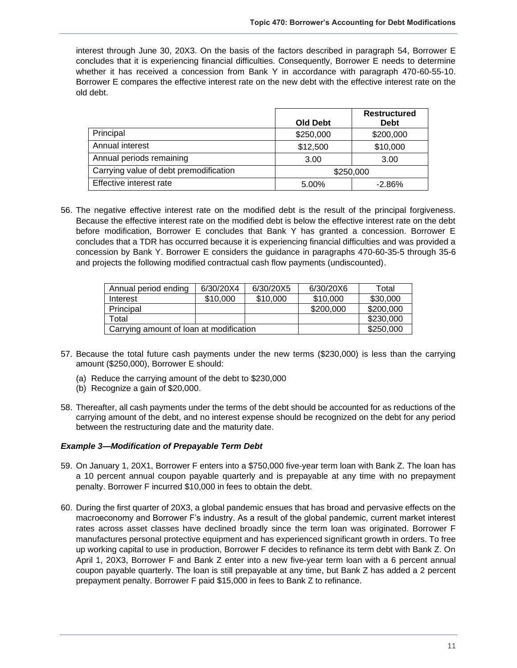interest through June 30, 20X3. On the basis of the factors described in paragraph 54, Borrower E concludes that it is experiencing financial difficulties. Consequently, Borrower E needs to determine whether it has received a concession from Bank Y in accordance with paragraph 470-60-55-10. Borrower E compares the effective interest rate on the new debt with the effective interest rate on the old debt.

|                                        | <b>Old Debt</b> | <b>Restructured</b><br><b>Debt</b> |  |
|----------------------------------------|-----------------|------------------------------------|--|
| Principal                              | \$250,000       | \$200,000                          |  |
| Annual interest                        | \$12,500        | \$10,000                           |  |
| Annual periods remaining               | 3.00            | 3.00                               |  |
| Carrying value of debt premodification | \$250,000       |                                    |  |
| Effective interest rate                | 5.00%           | $-2.86%$                           |  |

56. The negative effective interest rate on the modified debt is the result of the principal forgiveness. Because the effective interest rate on the modified debt is below the effective interest rate on the debt before modification, Borrower E concludes that Bank Y has granted a concession. Borrower E concludes that a TDR has occurred because it is experiencing financial difficulties and was provided a concession by Bank Y. Borrower E considers the guidance in paragraphs 470-60-35-5 through 35-6 and projects the following modified contractual cash flow payments (undiscounted).

| Annual period ending                    | 6/30/20X4 | 6/30/20X5 | 6/30/20X6 | Total     |
|-----------------------------------------|-----------|-----------|-----------|-----------|
| Interest                                | \$10,000  | \$10,000  | \$10,000  | \$30,000  |
| Principal                               |           |           | \$200,000 | \$200,000 |
| Total                                   |           |           |           | \$230,000 |
| Carrying amount of loan at modification |           |           |           | \$250,000 |

- 57. Because the total future cash payments under the new terms (\$230,000) is less than the carrying amount (\$250,000), Borrower E should:
	- (a) Reduce the carrying amount of the debt to \$230,000
	- (b) Recognize a gain of \$20,000.
- 58. Thereafter, all cash payments under the terms of the debt should be accounted for as reductions of the carrying amount of the debt, and no interest expense should be recognized on the debt for any period between the restructuring date and the maturity date.

#### *Example 3—Modification of Prepayable Term Debt*

- 59. On January 1, 20X1, Borrower F enters into a \$750,000 five-year term loan with Bank Z. The loan has a 10 percent annual coupon payable quarterly and is prepayable at any time with no prepayment penalty. Borrower F incurred \$10,000 in fees to obtain the debt.
- 60. During the first quarter of 20X3, a global pandemic ensues that has broad and pervasive effects on the macroeconomy and Borrower F's industry. As a result of the global pandemic, current market interest rates across asset classes have declined broadly since the term loan was originated. Borrower F manufactures personal protective equipment and has experienced significant growth in orders. To free up working capital to use in production, Borrower F decides to refinance its term debt with Bank Z. On April 1, 20X3, Borrower F and Bank Z enter into a new five-year term loan with a 6 percent annual coupon payable quarterly. The loan is still prepayable at any time, but Bank Z has added a 2 percent prepayment penalty. Borrower F paid \$15,000 in fees to Bank Z to refinance.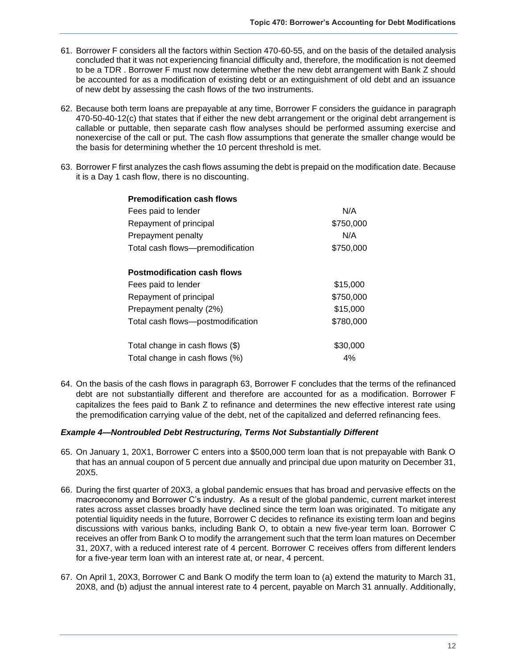- 61. Borrower F considers all the factors within Section 470-60-55, and on the basis of the detailed analysis concluded that it was not experiencing financial difficulty and, therefore, the modification is not deemed to be a TDR . Borrower F must now determine whether the new debt arrangement with Bank Z should be accounted for as a modification of existing debt or an extinguishment of old debt and an issuance of new debt by assessing the cash flows of the two instruments.
- 62. Because both term loans are prepayable at any time, Borrower F considers the guidance in paragraph 470-50-40-12(c) that states that if either the new debt arrangement or the original debt arrangement is callable or puttable, then separate cash flow analyses should be performed assuming exercise and nonexercise of the call or put. The cash flow assumptions that generate the smaller change would be the basis for determining whether the 10 percent threshold is met.
- 63. Borrower F first analyzes the cash flows assuming the debt is prepaid on the modification date. Because it is a Day 1 cash flow, there is no discounting.

| <b>Premodification cash flows</b>  |           |
|------------------------------------|-----------|
| Fees paid to lender                | N/A       |
| Repayment of principal             | \$750,000 |
| Prepayment penalty                 | N/A       |
| Total cash flows—premodification   | \$750,000 |
| <b>Postmodification cash flows</b> |           |
| Fees paid to lender                | \$15,000  |
| Repayment of principal             | \$750,000 |
| Prepayment penalty (2%)            | \$15,000  |
| Total cash flows—postmodification  | \$780,000 |
| Total change in cash flows (\$)    | \$30,000  |
| Total change in cash flows (%)     | 4%        |

64. On the basis of the cash flows in paragraph 63, Borrower F concludes that the terms of the refinanced debt are not substantially different and therefore are accounted for as a modification. Borrower F capitalizes the fees paid to Bank Z to refinance and determines the new effective interest rate using the premodification carrying value of the debt, net of the capitalized and deferred refinancing fees.

#### *Example 4—Nontroubled Debt Restructuring, Terms Not Substantially Different*

- 65. On January 1, 20X1, Borrower C enters into a \$500,000 term loan that is not prepayable with Bank O that has an annual coupon of 5 percent due annually and principal due upon maturity on December 31, 20X5.
- 66. During the first quarter of 20X3, a global pandemic ensues that has broad and pervasive effects on the macroeconomy and Borrower C's industry. As a result of the global pandemic, current market interest rates across asset classes broadly have declined since the term loan was originated. To mitigate any potential liquidity needs in the future, Borrower C decides to refinance its existing term loan and begins discussions with various banks, including Bank O, to obtain a new five-year term loan. Borrower C receives an offer from Bank O to modify the arrangement such that the term loan matures on December 31, 20X7, with a reduced interest rate of 4 percent. Borrower C receives offers from different lenders for a five-year term loan with an interest rate at, or near, 4 percent.
- 67. On April 1, 20X3, Borrower C and Bank O modify the term loan to (a) extend the maturity to March 31, 20X8, and (b) adjust the annual interest rate to 4 percent, payable on March 31 annually. Additionally,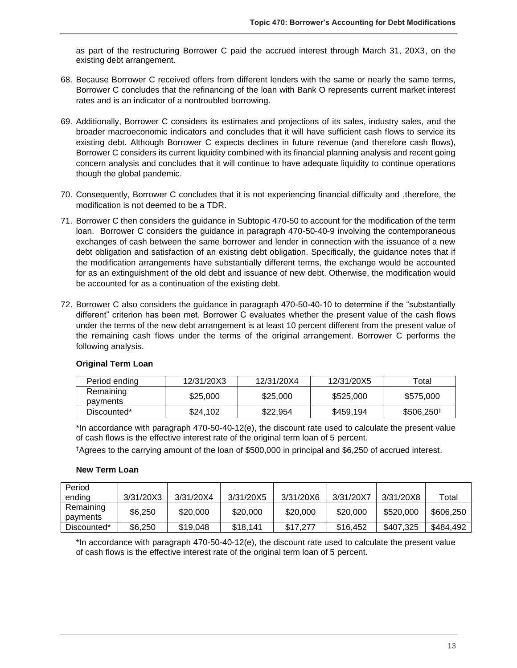as part of the restructuring Borrower C paid the accrued interest through March 31, 20X3, on the existing debt arrangement.

- 68. Because Borrower C received offers from different lenders with the same or nearly the same terms, Borrower C concludes that the refinancing of the loan with Bank O represents current market interest rates and is an indicator of a nontroubled borrowing.
- 69. Additionally, Borrower C considers its estimates and projections of its sales, industry sales, and the broader macroeconomic indicators and concludes that it will have sufficient cash flows to service its existing debt. Although Borrower C expects declines in future revenue (and therefore cash flows), Borrower C considers its current liquidity combined with its financial planning analysis and recent going concern analysis and concludes that it will continue to have adequate liquidity to continue operations though the global pandemic.
- 70. Consequently, Borrower C concludes that it is not experiencing financial difficulty and ,therefore, the modification is not deemed to be a TDR.
- 71. Borrower C then considers the guidance in Subtopic 470-50 to account for the modification of the term loan. Borrower C considers the guidance in paragraph 470-50-40-9 involving the contemporaneous exchanges of cash between the same borrower and lender in connection with the issuance of a new debt obligation and satisfaction of an existing debt obligation. Specifically, the guidance notes that if the modification arrangements have substantially different terms, the exchange would be accounted for as an extinguishment of the old debt and issuance of new debt. Otherwise, the modification would be accounted for as a continuation of the existing debt.
- 72. Borrower C also considers the guidance in paragraph 470-50-40-10 to determine if the "substantially different" criterion has been met. Borrower C evaluates whether the present value of the cash flows under the terms of the new debt arrangement is at least 10 percent different from the present value of the remaining cash flows under the terms of the original arrangement. Borrower C performs the following analysis.

| Period ending         | 12/31/20X3 | 12/31/20X4 | 12/31/20X5 | ™otal     |
|-----------------------|------------|------------|------------|-----------|
| Remaining<br>payments | \$25,000   | \$25,000   | \$525,000  | \$575,000 |
| Discounted*           | \$24.102   | \$22,954   | \$459.194  | \$506,250 |

# **Original Term Loan**

\*In accordance with paragraph 470-50-40-12(e), the discount rate used to calculate the present value of cash flows is the effective interest rate of the original term loan of 5 percent.

†Agrees to the carrying amount of the loan of \$500,000 in principal and \$6,250 of accrued interest.

#### **New Term Loan**

| Period      |           |           |           |           |           |           |           |
|-------------|-----------|-----------|-----------|-----------|-----------|-----------|-----------|
| ending      | 3/31/20X3 | 3/31/20X4 | 3/31/20X5 | 3/31/20X6 | 3/31/20X7 | 3/31/20X8 | Total     |
| Remaining   | \$6,250   | \$20,000  | \$20,000  | \$20,000  | \$20,000  | \$520,000 | \$606,250 |
| payments    |           |           |           |           |           |           |           |
| Discounted* | \$6,250   | \$19.048  | \$18,141  | \$17,277  | \$16.452  | \$407.325 | \$484.492 |

\*In accordance with paragraph 470-50-40-12(e), the discount rate used to calculate the present value of cash flows is the effective interest rate of the original term loan of 5 percent.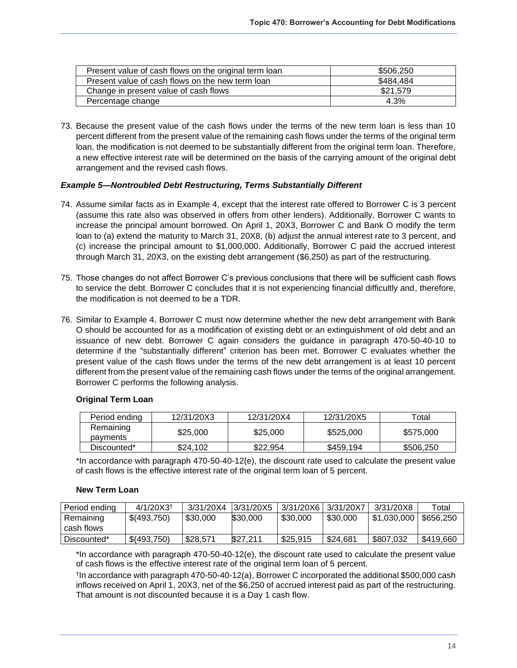| Present value of cash flows on the original term loan | \$506,250 |
|-------------------------------------------------------|-----------|
| Present value of cash flows on the new term loan      | \$484.484 |
| Change in present value of cash flows                 | \$21,579  |
| Percentage change                                     | 4.3%      |

73. Because the present value of the cash flows under the terms of the new term loan is less than 10 percent different from the present value of the remaining cash flows under the terms of the original term loan, the modification is not deemed to be substantially different from the original term loan. Therefore, a new effective interest rate will be determined on the basis of the carrying amount of the original debt arrangement and the revised cash flows.

# *Example 5—Nontroubled Debt Restructuring, Terms Substantially Different*

- 74. Assume similar facts as in Example 4, except that the interest rate offered to Borrower C is 3 percent (assume this rate also was observed in offers from other lenders). Additionally, Borrower C wants to increase the principal amount borrowed. On April 1, 20X3, Borrower C and Bank O modify the term loan to (a) extend the maturity to March 31, 20X8, (b) adjust the annual interest rate to 3 percent, and (c) increase the principal amount to \$1,000,000. Additionally, Borrower C paid the accrued interest through March 31, 20X3, on the existing debt arrangement (\$6,250) as part of the restructuring.
- 75. Those changes do not affect Borrower C's previous conclusions that there will be sufficient cash flows to service the debt. Borrower C concludes that it is not experiencing financial difficultly and, therefore, the modification is not deemed to be a TDR.
- 76. Similar to Example 4, Borrower C must now determine whether the new debt arrangement with Bank O should be accounted for as a modification of existing debt or an extinguishment of old debt and an issuance of new debt. Borrower C again considers the guidance in paragraph 470-50-40-10 to determine if the "substantially different" criterion has been met. Borrower C evaluates whether the present value of the cash flows under the terms of the new debt arrangement is at least 10 percent different from the present value of the remaining cash flows under the terms of the original arrangement. Borrower C performs the following analysis.

# **Original Term Loan**

| Period ending         | 12/31/20X3 | 12/31/20X4 | 12/31/20X5 | Total     |
|-----------------------|------------|------------|------------|-----------|
| Remaining<br>pavments | \$25,000   | \$25,000   | \$525,000  | \$575,000 |
| Discounted*           | \$24.102   | \$22.954   | \$459,194  | \$506,250 |

\*In accordance with paragraph 470-50-40-12(e), the discount rate used to calculate the present value of cash flows is the effective interest rate of the original term loan of 5 percent.

#### **New Term Loan**

| Period ending | $4/1/20X3$ <sup>+</sup> | 3/31/20X4 | 3/31/20X5 | 3/31/20X6 | 3/31/20X7 | 3/31/20X8     | Total     |
|---------------|-------------------------|-----------|-----------|-----------|-----------|---------------|-----------|
| Remaining     | \$(493,750)             | \$30,000  | \$30,000  | \$30,000  | \$30,000  | $\$\,030,000$ | \$656.250 |
| cash flows    |                         |           |           |           |           |               |           |
| Discounted*   | \$(493,750)             | \$28.571  | \$27,211  | \$25.915  | \$24,681  | \$807.032     | \$419.660 |

\*In accordance with paragraph 470-50-40-12(e), the discount rate used to calculate the present value of cash flows is the effective interest rate of the original term loan of 5 percent.

† In accordance with paragraph 470-50-40-12(a), Borrower C incorporated the additional \$500,000 cash inflows received on April 1, 20X3, net of the \$6,250 of accrued interest paid as part of the restructuring. That amount is not discounted because it is a Day 1 cash flow.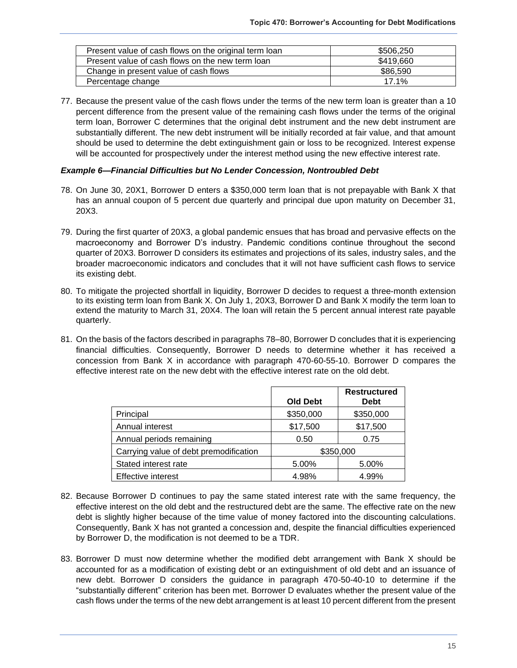| Present value of cash flows on the original term loan | \$506,250 |
|-------------------------------------------------------|-----------|
| Present value of cash flows on the new term loan      | \$419,660 |
| Change in present value of cash flows                 | \$86,590  |
| Percentage change                                     | 17.1%     |

77. Because the present value of the cash flows under the terms of the new term loan is greater than a 10 percent difference from the present value of the remaining cash flows under the terms of the original term loan, Borrower C determines that the original debt instrument and the new debt instrument are substantially different. The new debt instrument will be initially recorded at fair value, and that amount should be used to determine the debt extinguishment gain or loss to be recognized. Interest expense will be accounted for prospectively under the interest method using the new effective interest rate.

#### *Example 6—Financial Difficulties but No Lender Concession, Nontroubled Debt*

- 78. On June 30, 20X1, Borrower D enters a \$350,000 term loan that is not prepayable with Bank X that has an annual coupon of 5 percent due quarterly and principal due upon maturity on December 31, 20X3.
- 79. During the first quarter of 20X3, a global pandemic ensues that has broad and pervasive effects on the macroeconomy and Borrower D's industry. Pandemic conditions continue throughout the second quarter of 20X3. Borrower D considers its estimates and projections of its sales, industry sales, and the broader macroeconomic indicators and concludes that it will not have sufficient cash flows to service its existing debt.
- 80. To mitigate the projected shortfall in liquidity, Borrower D decides to request a three-month extension to its existing term loan from Bank X. On July 1, 20X3, Borrower D and Bank X modify the term loan to extend the maturity to March 31, 20X4. The loan will retain the 5 percent annual interest rate payable quarterly.
- 81. On the basis of the factors described in paragraphs 78–80, Borrower D concludes that it is experiencing financial difficulties. Consequently, Borrower D needs to determine whether it has received a concession from Bank X in accordance with paragraph 470-60-55-10. Borrower D compares the effective interest rate on the new debt with the effective interest rate on the old debt.

|                                        | <b>Old Debt</b> | <b>Restructured</b><br><b>Debt</b> |
|----------------------------------------|-----------------|------------------------------------|
| Principal                              | \$350,000       | \$350,000                          |
| Annual interest                        | \$17,500        | \$17,500                           |
| Annual periods remaining               | 0.50            | 0.75                               |
| Carrying value of debt premodification | \$350,000       |                                    |
| Stated interest rate                   | 5.00%           | 5.00%                              |
| <b>Effective interest</b>              | 4.98%           | 4.99%                              |

- 82. Because Borrower D continues to pay the same stated interest rate with the same frequency, the effective interest on the old debt and the restructured debt are the same. The effective rate on the new debt is slightly higher because of the time value of money factored into the discounting calculations. Consequently, Bank X has not granted a concession and, despite the financial difficulties experienced by Borrower D, the modification is not deemed to be a TDR.
- 83. Borrower D must now determine whether the modified debt arrangement with Bank X should be accounted for as a modification of existing debt or an extinguishment of old debt and an issuance of new debt. Borrower D considers the guidance in paragraph 470-50-40-10 to determine if the "substantially different" criterion has been met. Borrower D evaluates whether the present value of the cash flows under the terms of the new debt arrangement is at least 10 percent different from the present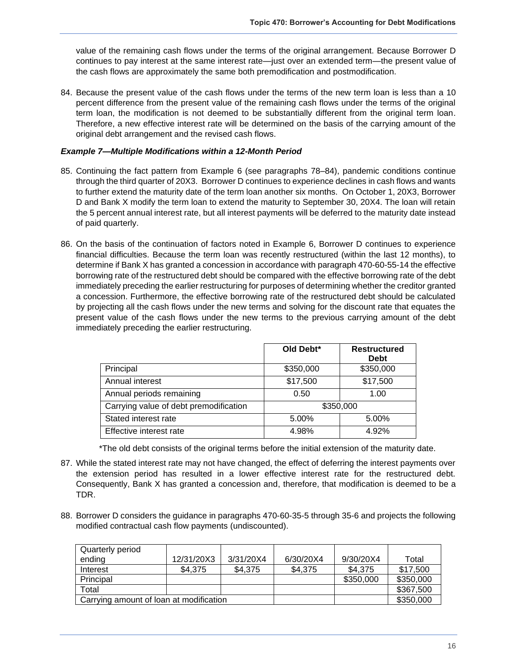value of the remaining cash flows under the terms of the original arrangement. Because Borrower D continues to pay interest at the same interest rate—just over an extended term—the present value of the cash flows are approximately the same both premodification and postmodification.

84. Because the present value of the cash flows under the terms of the new term loan is less than a 10 percent difference from the present value of the remaining cash flows under the terms of the original term loan, the modification is not deemed to be substantially different from the original term loan. Therefore, a new effective interest rate will be determined on the basis of the carrying amount of the original debt arrangement and the revised cash flows.

# *Example 7—Multiple Modifications within a 12-Month Period*

- 85. Continuing the fact pattern from Example 6 (see paragraphs 78–84), pandemic conditions continue through the third quarter of 20X3. Borrower D continues to experience declines in cash flows and wants to further extend the maturity date of the term loan another six months. On October 1, 20X3, Borrower D and Bank X modify the term loan to extend the maturity to September 30, 20X4. The loan will retain the 5 percent annual interest rate, but all interest payments will be deferred to the maturity date instead of paid quarterly.
- 86. On the basis of the continuation of factors noted in Example 6, Borrower D continues to experience financial difficulties. Because the term loan was recently restructured (within the last 12 months), to determine if Bank X has granted a concession in accordance with paragraph 470-60-55-14 the effective borrowing rate of the restructured debt should be compared with the effective borrowing rate of the debt immediately preceding the earlier restructuring for purposes of determining whether the creditor granted a concession. Furthermore, the effective borrowing rate of the restructured debt should be calculated by projecting all the cash flows under the new terms and solving for the discount rate that equates the present value of the cash flows under the new terms to the previous carrying amount of the debt immediately preceding the earlier restructuring.

|                                        | Old Debt* | <b>Restructured</b><br><b>Debt</b> |
|----------------------------------------|-----------|------------------------------------|
| Principal                              | \$350,000 | \$350,000                          |
| Annual interest                        | \$17,500  | \$17,500                           |
| Annual periods remaining               | 0.50      | 1.00                               |
| Carrying value of debt premodification | \$350,000 |                                    |
| Stated interest rate                   | 5.00%     | 5.00%                              |
| Effective interest rate                | 4.98%     | 4.92%                              |

\*The old debt consists of the original terms before the initial extension of the maturity date.

- 87. While the stated interest rate may not have changed, the effect of deferring the interest payments over the extension period has resulted in a lower effective interest rate for the restructured debt. Consequently, Bank X has granted a concession and, therefore, that modification is deemed to be a TDR.
- 88. Borrower D considers the guidance in paragraphs 470-60-35-5 through 35-6 and projects the following modified contractual cash flow payments (undiscounted).

| Quarterly period                        |            |           |           |           |           |
|-----------------------------------------|------------|-----------|-----------|-----------|-----------|
| ending                                  | 12/31/20X3 | 3/31/20X4 | 6/30/20X4 | 9/30/20X4 | Total     |
| Interest                                | \$4.375    | \$4.375   | \$4.375   | \$4.375   | \$17,500  |
| Principal                               |            |           |           | \$350,000 | \$350,000 |
| Total                                   |            |           |           |           | \$367,500 |
| Carrying amount of loan at modification |            |           |           |           | \$350,000 |